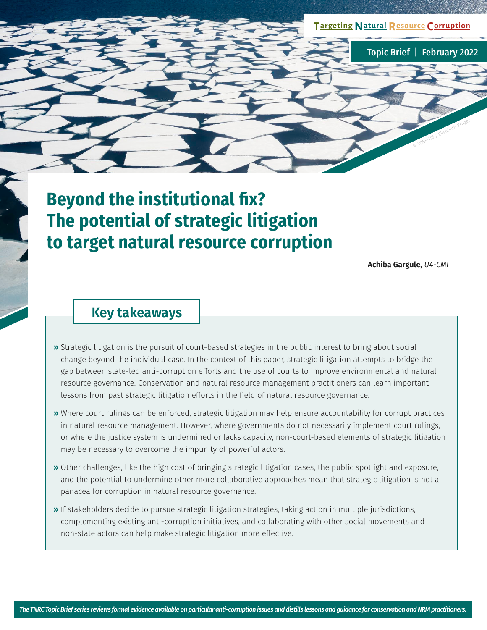**TargetingNatural Resource Corruption**

Topic Brief | February 2022

© WWF-US / Elisabeth Kruger

# **Beyond the institutional fix? The potential of strategic litigation to target natural resource corruption**

**Achiba Gargule,** *U4-CMI*

### **Key takeaways**

- **»** Strategic litigation is the pursuit of court-based strategies in the public interest to bring about social change beyond the individual case. In the context of this paper, strategic litigation attempts to bridge the gap between state-led anti-corruption efforts and the use of courts to improve environmental and natural resource governance. Conservation and natural resource management practitioners can learn important lessons from past strategic litigation efforts in the field of natural resource governance.
- **»** Where court rulings can be enforced, strategic litigation may help ensure accountability for corrupt practices in natural resource management. However, where governments do not necessarily implement court rulings, or where the justice system is undermined or lacks capacity, non-court-based elements of strategic litigation may be necessary to overcome the impunity of powerful actors.
- **»** Other challenges, like the high cost of bringing strategic litigation cases, the public spotlight and exposure, and the potential to undermine other more collaborative approaches mean that strategic litigation is not a panacea for corruption in natural resource governance.
- **»** If stakeholders decide to pursue strategic litigation strategies, taking action in multiple jurisdictions, complementing existing anti-corruption initiatives, and collaborating with other social movements and non-state actors can help make strategic litigation more effective.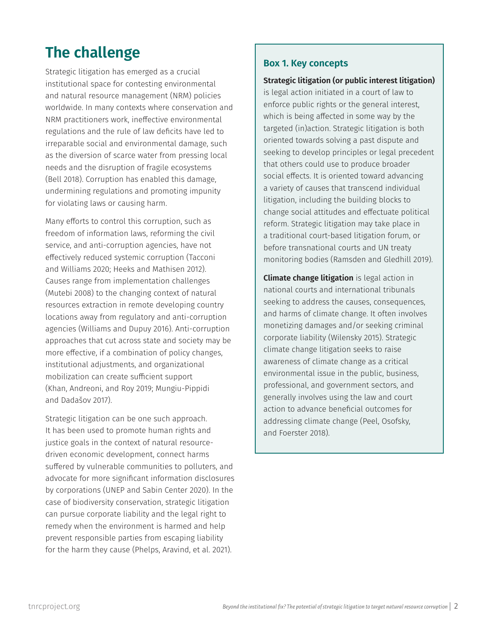## **The challenge**

Strategic litigation has emerged as a crucial institutional space for contesting environmental and natural resource management (NRM) policies worldwide. In many contexts where conservation and NRM practitioners work, ineffective environmental regulations and the rule of law deficits have led to irreparable social and environmental damage, such as the diversion of scarce water from pressing local needs and the disruption of fragile ecosystems (Bell 2018). Corruption has enabled this damage, undermining regulations and promoting impunity for violating laws or causing harm.

Many efforts to control this corruption, such as freedom of information laws, reforming the civil service, and anti-corruption agencies, have not effectively reduced systemic corruption (Tacconi and Williams 2020; Heeks and Mathisen 2012). Causes range from implementation challenges (Mutebi 2008) to the changing context of natural resources extraction in remote developing country locations away from regulatory and anti-corruption agencies (Williams and Dupuy 2016). Anti-corruption approaches that cut across state and society may be more effective, if a combination of policy changes, institutional adjustments, and organizational mobilization can create sufficient support (Khan, Andreoni, and Roy 2019; Mungiu-Pippidi and Dadašov 2017).

Strategic litigation can be one such approach. It has been used to promote human rights and justice goals in the context of natural resourcedriven economic development, connect harms suffered by vulnerable communities to polluters, and advocate for more significant information disclosures by corporations (UNEP and Sabin Center 2020). In the case of biodiversity conservation, strategic litigation can pursue corporate liability and the legal right to remedy when the environment is harmed and help prevent responsible parties from escaping liability for the harm they cause (Phelps, Aravind, et al. 2021).

#### **Box 1. Key concepts**

#### **Strategic litigation (or public interest litigation)**

is legal action initiated in a court of law to enforce public rights or the general interest, which is being affected in some way by the targeted (in)action. Strategic litigation is both oriented towards solving a past dispute and seeking to develop principles or legal precedent that others could use to produce broader social effects. It is oriented toward advancing a variety of causes that transcend individual litigation, including the building blocks to change social attitudes and effectuate political reform. Strategic litigation may take place in a traditional court-based litigation forum, or before transnational courts and UN treaty monitoring bodies (Ramsden and Gledhill 2019).

**Climate change litigation** is legal action in national courts and international tribunals seeking to address the causes, consequences, and harms of climate change. It often involves monetizing damages and/or seeking criminal corporate liability (Wilensky 2015). Strategic climate change litigation seeks to raise awareness of climate change as a critical environmental issue in the public, business, professional, and government sectors, and generally involves using the law and court action to advance beneficial outcomes for addressing climate change (Peel, Osofsky, and Foerster 2018).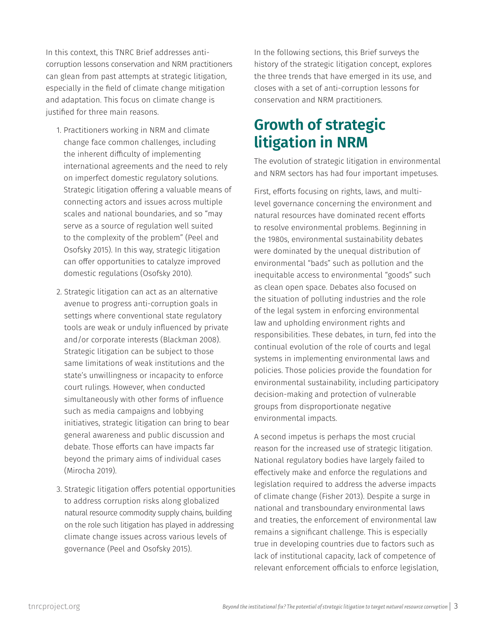In this context, this TNRC Brief addresses anticorruption lessons conservation and NRM practitioners can glean from past attempts at strategic litigation, especially in the field of climate change mitigation and adaptation. This focus on climate change is justified for three main reasons.

- 1. Practitioners working in NRM and climate change face common challenges, including the inherent difficulty of implementing international agreements and the need to rely on imperfect domestic regulatory solutions. Strategic litigation offering a valuable means of connecting actors and issues across multiple scales and national boundaries, and so "may serve as a source of regulation well suited to the complexity of the problem" (Peel and Osofsky 2015). In this way, strategic litigation can offer opportunities to catalyze improved domestic regulations (Osofsky 2010).
- 2. Strategic litigation can act as an alternative avenue to progress anti-corruption goals in settings where conventional state regulatory tools are weak or unduly influenced by private and/or corporate interests (Blackman 2008). Strategic litigation can be subject to those same limitations of weak institutions and the state's unwillingness or incapacity to enforce court rulings. However, when conducted simultaneously with other forms of influence such as media campaigns and lobbying initiatives, strategic litigation can bring to bear general awareness and public discussion and debate. Those efforts can have impacts far beyond the primary aims of individual cases (Mirocha 2019).
- 3. Strategic litigation offers potential opportunities to address corruption risks along globalized natural resource commodity supply chains, building on the role such litigation has played in addressing climate change issues across various levels of governance (Peel and Osofsky 2015).

In the following sections, this Brief surveys the history of the strategic litigation concept, explores the three trends that have emerged in its use, and closes with a set of anti-corruption lessons for conservation and NRM practitioners.

### **Growth of strategic litigation in NRM**

The evolution of strategic litigation in environmental and NRM sectors has had four important impetuses.

First, efforts focusing on rights, laws, and multilevel governance concerning the environment and natural resources have dominated recent efforts to resolve environmental problems. Beginning in the 1980s, environmental sustainability debates were dominated by the unequal distribution of environmental "bads" such as pollution and the inequitable access to environmental "goods" such as clean open space. Debates also focused on the situation of polluting industries and the role of the legal system in enforcing environmental law and upholding environment rights and responsibilities. These debates, in turn, fed into the continual evolution of the role of courts and legal systems in implementing environmental laws and policies. Those policies provide the foundation for environmental sustainability, including participatory decision-making and protection of vulnerable groups from disproportionate negative environmental impacts.

A second impetus is perhaps the most crucial reason for the increased use of strategic litigation. National regulatory bodies have largely failed to effectively make and enforce the regulations and legislation required to address the adverse impacts of climate change (Fisher 2013). Despite a surge in national and transboundary environmental laws and treaties, the enforcement of environmental law remains a significant challenge. This is especially true in developing countries due to factors such as lack of institutional capacity, lack of competence of relevant enforcement officials to enforce legislation,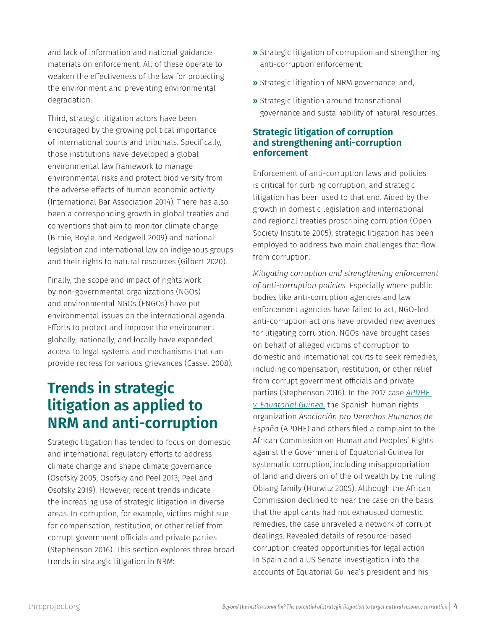and lack of information and national guidance materials on enforcement. All of these operate to weaken the effectiveness of the law for protecting the environment and preventing environmental degradation.

Third, strategic litigation actors have been encouraged by the growing political importance of international courts and tribunals. Specifically, those institutions have developed a global environmental law framework to manage environmental risks and protect biodiversity from the adverse effects of human economic activity (International Bar Association 2014). There has also been a corresponding growth in global treaties and conventions that aim to monitor climate change (Birnie, Boyle, and Redgwell 2009) and national legislation and international law on indigenous groups and their rights to natural resources (Gilbert 2020).

Finally, the scope and impact of rights work by non-governmental organizations (NGOs) and environmental NGOs (ENGOs) have put environmental issues on the international agenda. Efforts to protect and improve the environment globally, nationally, and locally have expanded access to legal systems and mechanisms that can provide redress for various grievances (Cassel 2008).

## **Trends in strategic litigation as applied to NRM and anti-corruption**

Strategic litigation has tended to focus on domestic and international regulatory efforts to address climate change and shape climate governance (Osofsky 2005; Osofsky and Peel 2013; Peel and Osofsky 2019). However, recent trends indicate the increasing use of strategic litigation in diverse areas. In corruption, for example, victims might sue for compensation, restitution, or other relief from corrupt government officials and private parties (Stephenson 2016). This section explores three broad trends in strategic litigation in NRM:

- **»** Strategic litigation of corruption and strengthening anti-corruption enforcement;
- **»** Strategic litigation of NRM governance; and,
- **»** Strategic litigation around transnational governance and sustainability of natural resources.

#### **Strategic litigation of corruption and strengthening anti-corruption enforcement**

Enforcement of anti-corruption laws and policies is critical for curbing corruption, and strategic litigation has been used to that end. Aided by the growth in domestic legislation and international and regional treaties proscribing corruption (Open Society Institute 2005), strategic litigation has been employed to address two main challenges that flow from corruption.

*Mitigating corruption and strengthening enforcement of anti-corruption policies.* Especially where public bodies like anti-corruption agencies and law enforcement agencies have failed to act, NGO-led anti-corruption actions have provided new avenues for litigating corruption. NGOs have brought cases on behalf of alleged victims of corruption to domestic and international courts to seek remedies, including compensation, restitution, or other relief from corrupt government officials and private parties (Stephenson 2016). In the 2017 case *[APDHE](https://www.justiceinitiative.org/litigation/apdhe-v-equatorial-guinea)  [v. Equatorial Guinea,](https://www.justiceinitiative.org/litigation/apdhe-v-equatorial-guinea)* the Spanish human rights organization *Asociación pro Derechos Humanos de España* (APDHE) and others filed a complaint to the African Commission on Human and Peoples' Rights against the Government of Equatorial Guinea for systematic corruption, including misappropriation of land and diversion of the oil wealth by the ruling Obiang family (Hurwitz 2005). Although the African Commission declined to hear the case on the basis that the applicants had not exhausted domestic remedies, the case unraveled a network of corrupt dealings. Revealed details of resource-based corruption created opportunities for legal action in Spain and a US Senate investigation into the accounts of Equatorial Guinea's president and his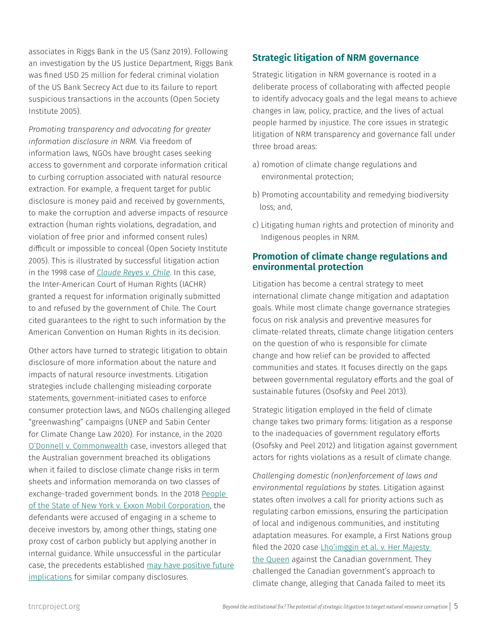associates in Riggs Bank in the US (Sanz 2019). Following an investigation by the US Justice Department, Riggs Bank was fined USD 25 million for federal criminal violation of the US Bank Secrecy Act due to its failure to report suspicious transactions in the accounts (Open Society Institute 2005).

*Promoting transparency and advocating for greater information disclosure in NRM.* Via freedom of information laws, NGOs have brought cases seeking access to government and corporate information critical to curbing corruption associated with natural resource extraction. For example, a frequent target for public disclosure is money paid and received by governments, to make the corruption and adverse impacts of resource extraction (human rights violations, degradation, and violation of free prior and informed consent rules) difficult or impossible to conceal (Open Society Institute 2005). This is illustrated by successful litigation action in the 1998 case of *[Claude Reyes v. Chile.](https://www.justiceinitiative.org/litigation/claude-reyes-v-chile)* In this case, the Inter-American Court of Human Rights (IACHR) granted a request for information originally submitted to and refused by the government of Chile. The Court cited guarantees to the right to such information by the American Convention on Human Rights in its decision.

Other actors have turned to strategic litigation to obtain disclosure of more information about the nature and impacts of natural resource investments. Litigation strategies include challenging misleading corporate statements, government-initiated cases to enforce consumer protection laws, and NGOs challenging alleged "greenwashing" campaigns (UNEP and Sabin Center for Climate Change Law 2020). For instance, in the 2020 [O'Donnell v. Commonwealth](http://climatecasechart.com/climate-change-litigation/non-us-case/odonnell-v-commonwealth/) case, investors alleged that the Australian government breached its obligations when it failed to disclose climate change risks in term sheets and information memoranda on two classes of exchange-traded government bonds. In the 2018 [People](http://climatecasechart.com/climate-change-litigation/case/people-v-exxon-mobil-corporation/)  [of the State of New York v. Exxon Mobil Corporation,](http://climatecasechart.com/climate-change-litigation/case/people-v-exxon-mobil-corporation/) the defendants were accused of engaging in a scheme to deceive investors by, among other things, stating one proxy cost of carbon publicly but applying another in internal guidance. While unsuccessful in the particular case, the precedents established [may have positive future](https://eelp.law.harvard.edu/2019/12/understanding-the-new-york-v-exxon-decision/) [implications](https://eelp.law.harvard.edu/2019/12/understanding-the-new-york-v-exxon-decision/) for similar company disclosures.

#### **Strategic litigation of NRM governance**

Strategic litigation in NRM governance is rooted in a deliberate process of collaborating with affected people to identify advocacy goals and the legal means to achieve changes in law, policy, practice, and the lives of actual people harmed by injustice. The core issues in strategic litigation of NRM transparency and governance fall under three broad areas:

- a) romotion of climate change regulations and environmental protection;
- b) Promoting accountability and remedying biodiversity loss; and,
- c) Litigating human rights and protection of minority and Indigenous peoples in NRM.

#### **Promotion of climate change regulations and environmental protection**

Litigation has become a central strategy to meet international climate change mitigation and adaptation goals. While most climate change governance strategies focus on risk analysis and preventive measures for climate-related threats, climate change litigation centers on the question of who is responsible for climate change and how relief can be provided to affected communities and states. It focuses directly on the gaps between governmental regulatory efforts and the goal of sustainable futures (Osofsky and Peel 2013).

Strategic litigation employed in the field of climate change takes two primary forms: litigation as a response to the inadequacies of government regulatory efforts (Osofsky and Peel 2012) and litigation against government actors for rights violations as a result of climate change.

*Challenging domestic (non)enforcement of laws and environmental regulations by states.* Litigation against states often involves a call for priority actions such as regulating carbon emissions, ensuring the participation of local and indigenous communities, and instituting adaptation measures. For example, a First Nations group filed the 2020 case Lho'imggin et al. v. Her Majesty [the Queen](https://climate-laws.org/geographies/canada/litigation_cases/lho-imggin-et-al-v-her-majesty-the-queen) against the Canadian government. They challenged the Canadian government's approach to climate change, alleging that Canada failed to meet its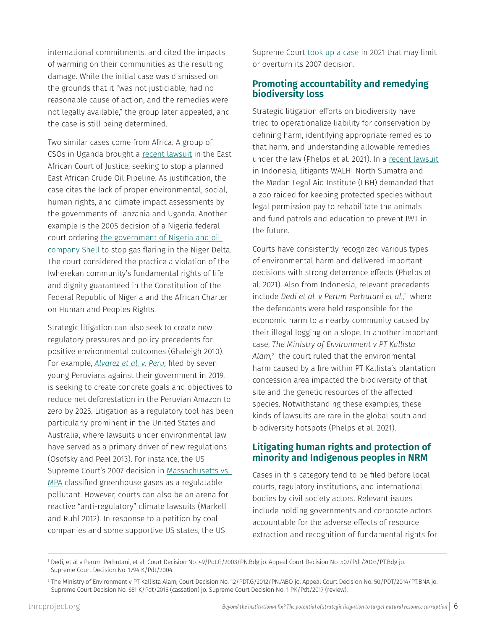international commitments, and cited the impacts of warming on their communities as the resulting damage. While the initial case was dismissed on the grounds that it "was not justiciable, had no reasonable cause of action, and the remedies were not legally available," the group later appealed, and the case is still being determined.

Two similar cases come from Africa. A group of CSOs in Uganda brought a [recent lawsuit](http://climatecasechart.com/climate-change-litigation/non-us-case/center-for-food-and-adequate-living-rights-et-al-v-tanzania-and-uganda/) in the East African Court of Justice, seeking to stop a planned East African Crude Oil Pipeline. As justification, the case cites the lack of proper environmental, social, human rights, and climate impact assessments by the governments of Tanzania and Uganda. Another example is the 2005 decision of a Nigeria federal court ordering [the government of Nigeria and oil](http://climatecasechart.com/climate-change-litigation/non-us-case/gbemre-v-shell-petroleum-development-company-of-nigeria-ltd-et-al/)  [company Shell](http://climatecasechart.com/climate-change-litigation/non-us-case/gbemre-v-shell-petroleum-development-company-of-nigeria-ltd-et-al/) to stop gas flaring in the Niger Delta. The court considered the practice a violation of the Iwherekan community's fundamental rights of life and dignity guaranteed in the Constitution of the Federal Republic of Nigeria and the African Charter on Human and Peoples Rights.

Strategic litigation can also seek to create new regulatory pressures and policy precedents for positive environmental outcomes (Ghaleigh 2010). For example, *[Alvarez et al. v. Peru,](https://climate-laws.org/geographies/peru/litigation_cases/alvarez-et-al-v-peru)* filed by seven young Peruvians against their government in 2019, is seeking to create concrete goals and objectives to reduce net deforestation in the Peruvian Amazon to zero by 2025. Litigation as a regulatory tool has been particularly prominent in the United States and Australia, where lawsuits under environmental law have served as a primary driver of new regulations (Osofsky and Peel 2013). For instance, the US Supreme Court's 2007 decision in [Massachusetts vs.](http://climatecasechart.com/climate-change-litigation/case/massachusetts-v-epa/)  [MPA](http://climatecasechart.com/climate-change-litigation/case/massachusetts-v-epa/) classified greenhouse gases as a regulatable pollutant. However, courts can also be an arena for reactive "anti-regulatory" climate lawsuits (Markell and Ruhl 2012). In response to a petition by coal companies and some supportive US states, the US

Supreme Court [took up a case](https://yaleclimateconnections.org/2021/11/supreme-court-to-weigh-epa-authority-to-regulate-greenhouse-pollutants/) in 2021 that may limit or overturn its 2007 decision.

#### **Promoting accountability and remedying biodiversity loss**

Strategic litigation efforts on biodiversity have tried to operationalize liability for conservation by defining harm, identifying appropriate remedies to that harm, and understanding allowable remedies under the law (Phelps et al. 2021). In a [recent lawsuit](https://www.orangutanrepublik.org/weblog/2021/06/15/conservation-litigation-tries-put-true-price-wildlife-crime/)  in Indonesia, litigants WALHI North Sumatra and the Medan Legal Aid Institute (LBH) demanded that a zoo raided for keeping protected species without legal permission pay to rehabilitate the animals and fund patrols and education to prevent IWT in the future.

Courts have consistently recognized various types of environmental harm and delivered important decisions with strong deterrence effects (Phelps et al. 2021). Also from Indonesia, relevant precedents include *Dedi et al. v Perum Perhutani et al.,1* where the defendants were held responsible for the economic harm to a nearby community caused by their illegal logging on a slope. In another important case, *The Ministry of Environment v PT Kallista Alam,2* the court ruled that the environmental harm caused by a fire within PT Kallista's plantation concession area impacted the biodiversity of that site and the genetic resources of the affected species. Notwithstanding these examples, these kinds of lawsuits are rare in the global south and biodiversity hotspots (Phelps et al. 2021).

#### **Litigating human rights and protection of minority and Indigenous peoples in NRM**

Cases in this category tend to be filed before local courts, regulatory institutions, and international bodies by civil society actors. Relevant issues include holding governments and corporate actors accountable for the adverse effects of resource extraction and recognition of fundamental rights for

<sup>1</sup> Dedi, et al v Perum Perhutani, et al, Court Decision No. 49/Pdt.G/2003/PN.Bdg jo. Appeal Court Decision No. 507/Pdt/2003/PT.Bdg jo. Supreme Court Decision No. 1794 K/Pdt/2004.

<sup>2</sup> The Ministry of Environment v PT Kallista Alam, Court Decision No. 12/PDT.G/2012/PN.MBO jo. Appeal Court Decision No. 50/PDT/2014/PT.BNA jo. Supreme Court Decision No. 651 K/Pdt/2015 (cassation) jo. Supreme Court Decision No. 1 PK/Pdt/2017 (review).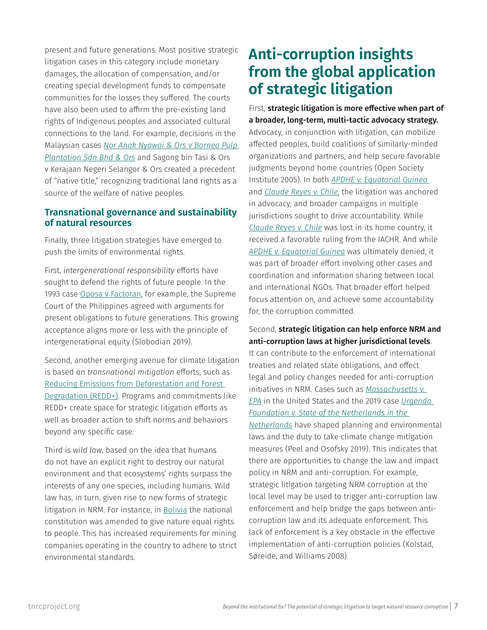present and future generations. Most positive strategic litigation cases in this category include monetary damages, the allocation of compensation, and/or creating special development funds to compensate communities for the losses they suffered. The courts have also been used to affirm the pre-existing land rights of Indigenous peoples and associated cultural connections to the land. For example, decisions in the Malaysian cases *[Nor Anak Nyawai & Ors v Borneo Pulp](http://www.commonlii.org/my/journals/JMCL/2005/3.html)  [Plantation Sdn Bhd & Ors](http://www.commonlii.org/my/journals/JMCL/2005/3.html)* and Sagong bin Tasi & Ors v Kerajaan Negeri Selangor & Ors created a precedent of "native title," recognizing traditional land rights as a source of the welfare of native peoples.

#### **Transnational governance and sustainability of natural resources**

Finally, three litigation strategies have emerged to push the limits of environmental rights.

First, *intergenerational responsibility* efforts have sought to defend the rights of future people. In the 1993 case [Oposa v Factoran](https://www.lawphil.net/judjuris/juri1993/jul1993/gr_101083_1993.html), for example, the Supreme Court of the Philippines agreed with arguments for present obligations to future generations. This growing acceptance aligns more or less with the principle of intergenerational equity (Slobodian 2019).

Second, another emerging avenue for climate litigation is based on *transnational mitigation* efforts, such as [Reducing Emissions from Deforestation and Forest](http://climatecasechart.com/climate-change-litigation/non-us-case/sheikh-asim-farooq-v-federation-of-pakistan-etc/)  [Degradation \(REDD+\)](http://climatecasechart.com/climate-change-litigation/non-us-case/sheikh-asim-farooq-v-federation-of-pakistan-etc/). Programs and commitments like REDD+ create space for strategic litigation efforts as well as broader action to shift norms and behaviors beyond any specific case.

Third is *wild law*, based on the idea that humans do not have an explicit right to destroy our natural environment and that ecosystems' rights surpass the interests of any one species, including humans. Wild law has, in turn, given rise to new forms of strategic litigation in NRM. For instance, in [Bolivia](https://archive.thinkprogress.org/bolivia-and-ecuador-grant-equal-rights-to-nature-is-wild-law-a-climate-solution-7675f15b6869/) the national constitution was amended to give nature equal rights to people. This has increased requirements for mining companies operating in the country to adhere to strict environmental standards.

## **Anti-corruption insights from the global application of strategic litigation**

First, **strategic litigation is more effective when part of a broader, long-term, multi-tactic advocacy strategy.** Advocacy, in conjunction with litigation, can mobilize affected peoples, build coalitions of similarly-minded organizations and partners, and help secure favorable judgments beyond home countries (Open Society Institute 2005). In both *[APDHE v. Equatorial Guinea](https://www.justiceinitiative.org/litigation/apdhe-v-equatorial-guinea)*  and *[Claude Reyes v. Chile,](https://www.justiceinitiative.org/litigation/apdhe-v-equatorial-guinea)* the litigation was anchored in advocacy, and broader campaigns in multiple jurisdictions sought to drive accountability. While *[Claude Reyes v. Chile](https://www.justiceinitiative.org/litigation/claude-reyes-v-chile)* was lost in its home country, it received a favorable ruling from the IACHR. And while *APDHE v. Equatorial Guinea* was ultimately denied, it was part of broader effort involving other cases and coordination and information sharing between local and international NGOs. That broader effort helped focus attention on, and achieve some accountability for, the corruption committed.

### Second, **strategic litigation can help enforce NRM and anti-corruption laws at higher jurisdictional levels**.

It can contribute to the enforcement of international treaties and related state obligations, and effect legal and policy changes needed for anti-corruption initiatives in NRM. Cases such as *[Massachusetts v.](http://climatecasechart.com/climate-change-litigation/case/massachusetts-v-epa/)  [EPA](http://climatecasechart.com/climate-change-litigation/case/massachusetts-v-epa/)* in the United States and the 2019 case *[Urgenda](https://climate-laws.org/geographies/netherlands/litigation_cases/urgenda-foundation-v-state-of-the-netherlands)  [Foundation v. State of the Netherlands in the](https://climate-laws.org/geographies/netherlands/litigation_cases/urgenda-foundation-v-state-of-the-netherlands)  [Netherlands](https://climate-laws.org/geographies/netherlands/litigation_cases/urgenda-foundation-v-state-of-the-netherlands)* have shaped planning and environmental laws and the duty to take climate change mitigation measures (Peel and Osofsky 2019). This indicates that there are opportunities to change the law and impact policy in NRM and anti-corruption. For example, strategic litigation targeting NRM corruption at the local level may be used to trigger anti-corruption law enforcement and help bridge the gaps between anticorruption law and its adequate enforcement. This lack of enforcement is a key obstacle in the effective implementation of anti-corruption policies (Kolstad, Søreide, and Williams 2008).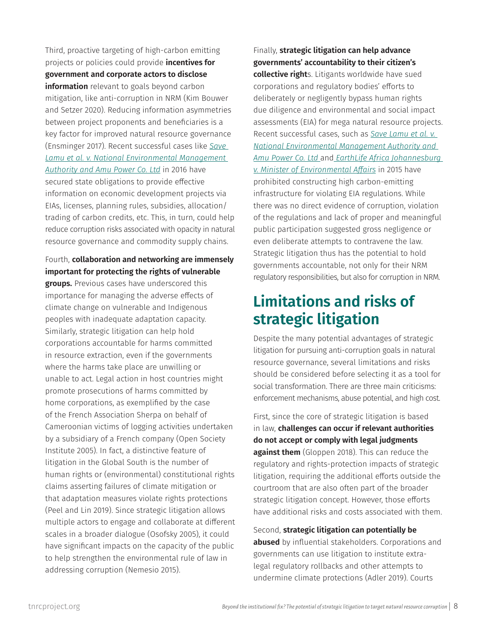Third, proactive targeting of high-carbon emitting projects or policies could provide **incentives for government and corporate actors to disclose information** relevant to goals beyond carbon mitigation, like anti-corruption in NRM (Kim Bouwer and Setzer 2020). Reducing information asymmetries between project proponents and beneficiaries is a key factor for improved natural resource governance (Ensminger 2017). Recent successful cases like *[Save](https://climate-laws.org/geographies/kenya/litigation_cases/save-lamu-et-al-v-national-environmental-management-authority-and-amu-power-co-ltd)  [Lamu et al. v. National Environmental Management](https://climate-laws.org/geographies/kenya/litigation_cases/save-lamu-et-al-v-national-environmental-management-authority-and-amu-power-co-ltd)  [Authority and Amu Power Co. Ltd](https://climate-laws.org/geographies/kenya/litigation_cases/save-lamu-et-al-v-national-environmental-management-authority-and-amu-power-co-ltd)* in 2016 have secured state obligations to provide effective information on economic development projects via EIAs, licenses, planning rules, subsidies, allocation/ trading of carbon credits, etc. This, in turn, could help reduce corruption risks associated with opacity in natural resource governance and commodity supply chains.

#### Fourth, **collaboration and networking are immensely important for protecting the rights of vulnerable**

**groups.** Previous cases have underscored this importance for managing the adverse effects of climate change on vulnerable and Indigenous peoples with inadequate adaptation capacity. Similarly, strategic litigation can help hold corporations accountable for harms committed in resource extraction, even if the governments where the harms take place are unwilling or unable to act. Legal action in host countries might promote prosecutions of harms committed by home corporations, as exemplified by the case of the French Association Sherpa on behalf of Cameroonian victims of logging activities undertaken by a subsidiary of a French company (Open Society Institute 2005). In fact, a distinctive feature of litigation in the Global South is the number of human rights or (environmental) constitutional rights claims asserting failures of climate mitigation or that adaptation measures violate rights protections (Peel and Lin 2019). Since strategic litigation allows multiple actors to engage and collaborate at different scales in a broader dialogue (Osofsky 2005), it could have significant impacts on the capacity of the public to help strengthen the environmental rule of law in addressing corruption (Nemesio 2015).

#### Finally, **strategic litigation can help advance governments' accountability to their citizen's**

**collective right**s. Litigants worldwide have sued corporations and regulatory bodies' efforts to deliberately or negligently bypass human rights due diligence and environmental and social impact assessments (EIA) for mega natural resource projects. Recent successful cases, such as *[Save Lamu et al. v.](https://climate-laws.org/geographies/south-africa/litigation_cases/earthlife-africa-johannesburg-v-minister-of-environmental-affairs-others)  [National Environmental Management Authority and](https://climate-laws.org/geographies/south-africa/litigation_cases/earthlife-africa-johannesburg-v-minister-of-environmental-affairs-others)  Amu Power Co. Ltd* and *[EarthLife Africa Johannesburg](https://climate-laws.org/geographies/south-africa/litigation_cases/earthlife-africa-johannesburg-v-minister-of-environmental-affairs-others)  [v. Minister of Environmental Affairs](https://climate-laws.org/geographies/south-africa/litigation_cases/earthlife-africa-johannesburg-v-minister-of-environmental-affairs-others)* in 2015 have prohibited constructing high carbon-emitting infrastructure for violating EIA regulations. While there was no direct evidence of corruption, violation of the regulations and lack of proper and meaningful public participation suggested gross negligence or even deliberate attempts to contravene the law. Strategic litigation thus has the potential to hold governments accountable, not only for their NRM regulatory responsibilities, but also for corruption in NRM.

## **Limitations and risks of strategic litigation**

Despite the many potential advantages of strategic litigation for pursuing anti-corruption goals in natural resource governance, several limitations and risks should be considered before selecting it as a tool for social transformation. There are three main criticisms: enforcement mechanisms, abuse potential, and high cost.

First, since the core of strategic litigation is based in law, **challenges can occur if relevant authorities do not accept or comply with legal judgments against them** (Gloppen 2018). This can reduce the regulatory and rights-protection impacts of strategic litigation, requiring the additional efforts outside the courtroom that are also often part of the broader strategic litigation concept. However, those efforts have additional risks and costs associated with them.

Second, **strategic litigation can potentially be abused** by influential stakeholders. Corporations and governments can use litigation to institute extralegal regulatory rollbacks and other attempts to undermine climate protections (Adler 2019). Courts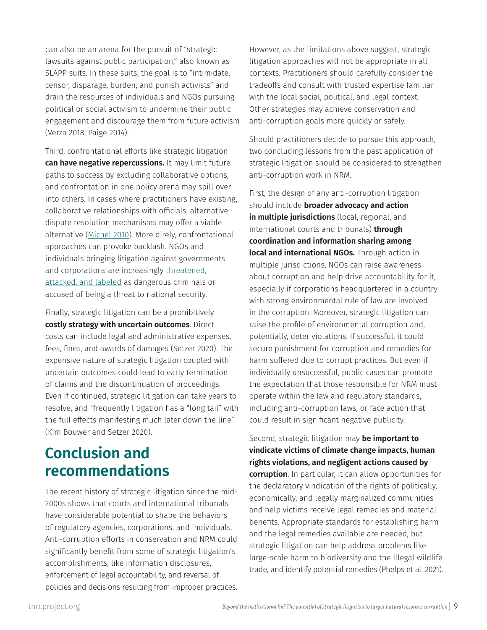can also be an arena for the pursuit of "strategic lawsuits against public participation," also known as SLAPP suits. In these suits, the goal is to "intimidate, censor, disparage, burden, and punish activists" and drain the resources of individuals and NGOs pursuing political or social activism to undermine their public engagement and discourage them from future activism (Verza 2018; Paige 2014).

Third, confrontational efforts like strategic litigation **can have negative repercussions.** It may limit future paths to success by excluding collaborative options, and confrontation in one policy arena may spill over into others. In cases where practitioners have existing, collaborative relationships with officials, alternative dispute resolution mechanisms may offer a viable alternative ([Michel 2010](https://openknowledge.worldbank.org/handle/10986/18106)). More direly, confrontational approaches can provoke backlash. NGOs and individuals bringing litigation against governments and corporations are increasingly [threatened,](https://www.hrw.org/news/2019/11/29/targeting-environmental-activists-counterterrorism-measures-abuse-law)  [attacked, and labeled](https://www.hrw.org/news/2019/11/29/targeting-environmental-activists-counterterrorism-measures-abuse-law) as dangerous criminals or accused of being a threat to national security.

Finally, strategic litigation can be a prohibitively **costly strategy with uncertain outcomes**. Direct costs can include legal and administrative expenses, fees, fines, and awards of damages (Setzer 2020). The expensive nature of strategic litigation coupled with uncertain outcomes could lead to early termination of claims and the discontinuation of proceedings. Even if continued, strategic litigation can take years to resolve, and "frequently litigation has a "long tail" with the full effects manifesting much later down the line" (Kim Bouwer and Setzer 2020).

### **Conclusion and recommendations**

The recent history of strategic litigation since the mid-2000s shows that courts and international tribunals have considerable potential to shape the behaviors of regulatory agencies, corporations, and individuals. Anti-corruption efforts in conservation and NRM could significantly benefit from some of strategic litigation's accomplishments, like information disclosures, enforcement of legal accountability, and reversal of policies and decisions resulting from improper practices.

However, as the limitations above suggest, strategic litigation approaches will not be appropriate in all contexts. Practitioners should carefully consider the tradeoffs and consult with trusted expertise familiar with the local social, political, and legal context. Other strategies may achieve conservation and anti-corruption goals more quickly or safely.

Should practitioners decide to pursue this approach, two concluding lessons from the past application of strategic litigation should be considered to strengthen anti-corruption work in NRM.

First, the design of any anti-corruption litigation should include **broader advocacy and action in multiple jurisdictions** (local, regional, and international courts and tribunals) **through coordination and information sharing among local and international NGOs.** Through action in multiple jurisdictions, NGOs can raise awareness about corruption and help drive accountability for it, especially if corporations headquartered in a country with strong environmental rule of law are involved in the corruption. Moreover, strategic litigation can raise the profile of environmental corruption and, potentially, deter violations. If successful, it could secure punishment for corruption and remedies for harm suffered due to corrupt practices. But even if individually unsuccessful, public cases can promote the expectation that those responsible for NRM must operate within the law and regulatory standards, including anti-corruption laws, or face action that could result in significant negative publicity.

Second, strategic litigation may **be important to vindicate victims of climate change impacts, human rights violations, and negligent actions caused by corruption**. In particular, it can allow opportunities for the declaratory vindication of the rights of politically, economically, and legally marginalized communities and help victims receive legal remedies and material benefits. Appropriate standards for establishing harm and the legal remedies available are needed, but strategic litigation can help address problems like large-scale harm to biodiversity and the illegal wildlife trade, and identify potential remedies (Phelps et al. 2021).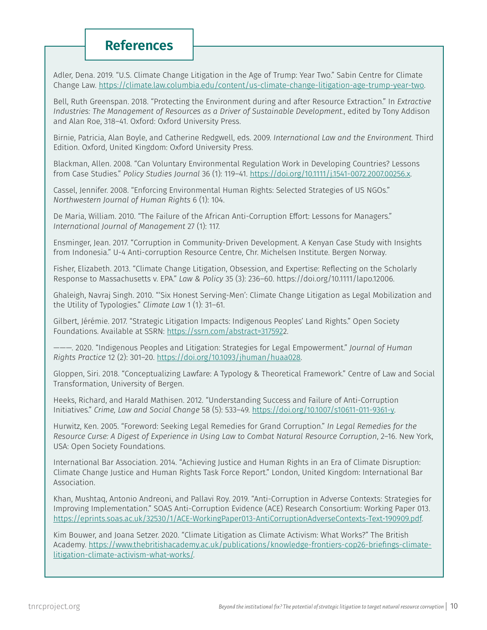### **References**

Adler, Dena. 2019. "U.S. Climate Change Litigation in the Age of Trump: Year Two." Sabin Centre for Climate Change Law. https://climate.law.columbia.edu/content/us-climate-change-litigation-age-trump-year-two.

Bell, Ruth Greenspan. 2018. "Protecting the Environment during and after Resource Extraction." In *Extractive Industries: The Management of Resources as a Driver of Sustainable Development*., edited by Tony Addison and Alan Roe, 318–41. Oxford: Oxford University Press.

Birnie, Patricia, Alan Boyle, and Catherine Redgwell, eds. 2009. *International Law and the Environment.* Third Edition. Oxford, United Kingdom: Oxford University Press.

Blackman, Allen. 2008. "Can Voluntary Environmental Regulation Work in Developing Countries? Lessons from Case Studies." *Policy Studies Journal* 36 (1): 119–41. [https://doi.org/10.1111/j.1541-0072.2007.00256.x.](https://onlinelibrary.wiley.com/doi/10.1111/j.1541-0072.2007.00256.x)

Cassel, Jennifer. 2008. "Enforcing Environmental Human Rights: Selected Strategies of US NGOs." *Northwestern Journal of Human Rights* 6 (1): 104.

De Maria, William. 2010. "The Failure of the African Anti-Corruption Effort: Lessons for Managers." *International Journal of Management* 27 (1): 117.

Ensminger, Jean. 2017. "Corruption in Community-Driven Development. A Kenyan Case Study with Insights from Indonesia." U-4 Anti-corruption Resource Centre, Chr. Michelsen Institute. Bergen Norway.

Fisher, Elizabeth. 2013. "Climate Change Litigation, Obsession, and Expertise: Reflecting on the Scholarly Response to Massachusetts v. EPA." *Law & Policy* 35 (3): 236–60. https://doi.org/10.1111/lapo.12006.

Ghaleigh, Navraj Singh. 2010. "'Six Honest Serving-Men': Climate Change Litigation as Legal Mobilization and the Utility of Typologies." *Climate Law* 1 (1): 31–61.

Gilbert, Jérémie. 2017. "Strategic Litigation Impacts: Indigenous Peoples' Land Rights." Open Society Foundations. Available at SSRN: [https://ssrn.com/abstract=317592](https://papers.ssrn.com/sol3/papers.cfm?abstract_id=3175922)2.

———. 2020. "Indigenous Peoples and Litigation: Strategies for Legal Empowerment." *Journal of Human Rights Practice* 12 (2): 301–20. [https://doi.org/10.1093/jhuman/huaa028.](https://doi.org/10.1093/jhuman/huaa028)

Gloppen, Siri. 2018. "Conceptualizing Lawfare: A Typology & Theoretical Framework." Centre of Law and Social Transformation, University of Bergen.

Heeks, Richard, and Harald Mathisen. 2012. "Understanding Success and Failure of Anti-Corruption Initiatives." *Crime, Law and Social Change* 58 (5): 533–49. [https://doi.org/10.1007/s10611-011-9361-y.](https://link.springer.com/article/10.1007/s10611-011-9361-y)

Hurwitz, Ken. 2005. "Foreword: Seeking Legal Remedies for Grand Corruption." *In Legal Remedies for the Resource Curse: A Digest of Experience in Using Law to Combat Natural Resource Corruption*, 2–16. New York, USA: Open Society Foundations.

International Bar Association. 2014. "Achieving Justice and Human Rights in an Era of Climate Disruption: Climate Change Justice and Human Rights Task Force Report." London, United Kingdom: International Bar Association.

Khan, Mushtaq, Antonio Andreoni, and Pallavi Roy. 2019. "Anti-Corruption in Adverse Contexts: Strategies for Improving Implementation." SOAS Anti-Corruption Evidence (ACE) Research Consortium: Working Paper 013. <https://eprints.soas.ac.uk/32530/1/ACE-WorkingPaper013-AntiCorruptionAdverseContexts-Text-190909.pdf>.

Kim Bouwer, and Joana Setzer. 2020. "Climate Litigation as Climate Activism: What Works?" The British Academy. [https://www.thebritishacademy.ac.uk/publications/knowledge-frontiers-cop26-briefings-climate](https://www.thebritishacademy.ac.uk/publications/knowledge-frontiers-cop26-briefings-climate-litigation-climate-activism-what-works/)[litigation-climate-activism-what-works/.](https://www.thebritishacademy.ac.uk/publications/knowledge-frontiers-cop26-briefings-climate-litigation-climate-activism-what-works/)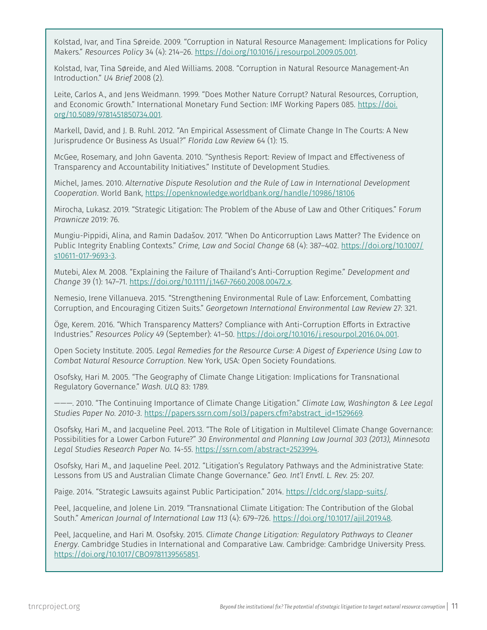Kolstad, Ivar, and Tina Søreide. 2009. "Corruption in Natural Resource Management: Implications for Policy Makers." *Resources Policy* 34 (4): 214–26. [https://doi.org/10.1016/j.resourpol.2009.05.001.](https://doi.org/10.1016/j.resourpol.2009.05.001)

Kolstad, Ivar, Tina Søreide, and Aled Williams. 2008. "Corruption in Natural Resource Management-An Introduction." *U4 Brief* 2008 (2).

Leite, Carlos A., and Jens Weidmann. 1999. "Does Mother Nature Corrupt? Natural Resources, Corruption, and Economic Growth." International Monetary Fund Section: IMF Working Papers 085. [https://doi.](https://www.elibrary.imf.org/view/journals/001/1999/085/001.1999.issue-085-en.xml) [org/10.5089/9781451850734.001](https://www.elibrary.imf.org/view/journals/001/1999/085/001.1999.issue-085-en.xml).

Markell, David, and J. B. Ruhl. 2012. "An Empirical Assessment of Climate Change In The Courts: A New Jurisprudence Or Business As Usual?" *Florida Law Review* 64 (1): 15.

McGee, Rosemary, and John Gaventa. 2010. "Synthesis Report: Review of Impact and Effectiveness of Transparency and Accountability Initiatives." Institute of Development Studies.

Michel, James. 2010. *Alternative Dispute Resolution and the Rule of Law in International Development Cooperation*. World Bank, <https://openknowledge.worldbank.org/handle/10986/18106>

Mirocha, Lukasz. 2019. "Strategic Litigation: The Problem of the Abuse of Law and Other Critiques." F*orum Prawnicze* 2019: 76.

Mungiu-Pippidi, Alina, and Ramin Dadašov. 2017. "When Do Anticorruption Laws Matter? The Evidence on Public Integrity Enabling Contexts." *Crime, Law and Social Change* 68 (4): 387–402. [https://doi.org/10.1007/](http://v) [s10611-017-9693-3](http://v).

Mutebi, Alex M. 2008. "Explaining the Failure of Thailand's Anti-Corruption Regime." *Development and Change* 39 (1): 147–71. [https://doi.org/10.1111/j.1467-7660.2008.00472.x.](https://doi.org/10.1111/j.1467-7660.2008.00472.x)

Nemesio, Irene Villanueva. 2015. "Strengthening Environmental Rule of Law: Enforcement, Combatting Corruption, and Encouraging Citizen Suits." *Georgetown International Environmental Law Review* 27: 321.

Öge, Kerem. 2016. "Which Transparency Matters? Compliance with Anti-Corruption Efforts in Extractive Industries." *Resources Policy* 49 (September): 41–50. [https://doi.org/10.1016/j.resourpol.2016.04.001.](https://doi.org/10.1016/j.resourpol.2016.04.001)

Open Society Institute. 2005. *Legal Remedies for the Resource Curse: A Digest of Experience Using Law to Combat Natural Resource Corruption*. New York, USA: Open Society Foundations.

Osofsky, Hari M. 2005. "The Geography of Climate Change Litigation: Implications for Transnational Regulatory Governance." *Wash. ULQ* 83: 1789.

———. 2010. "The Continuing Importance of Climate Change Litigation." *Climate Law, Washington & Lee Legal Studies Paper No. 2010-3*. [https://papers.ssrn.com/sol3/papers.cfm?abstract\\_id=1529669.](https://papers.ssrn.com/sol3/papers.cfm?abstract_id=1529669)

Osofsky, Hari M., and Jacqueline Peel. 2013. "The Role of Litigation in Multilevel Climate Change Governance: Possibilities for a Lower Carbon Future?" *30 Environmental and Planning Law Journal 303 (2013), Minnesota Legal Studies Research Paper No. 14-55*. <https://ssrn.com/abstract=2523994>.

Osofsky, Hari M., and Jaqueline Peel. 2012. "Litigation's Regulatory Pathways and the Administrative State: Lessons from US and Australian Climate Change Governance." *Geo. Int'l Envtl. L. Rev.* 25: 207.

Paige. 2014. "Strategic Lawsuits against Public Participation." 2014. [https://cldc.org/slapp-suits/.](https://cldc.org/slapp-suits/)

Peel, Jacqueline, and Jolene Lin. 2019. "Transnational Climate Litigation: The Contribution of the Global South." *American Journal of International Law 113* (4): 679–726. [https://doi.org/10.1017/ajil.2019.48](https://www.cambridge.org/core/journals/american-journal-of-international-law/article/transnational-climate-litigation-the-contribution-of-the-global-south/ABE6CC59AB7BC276A3550B9935E7145A).

Peel, Jacqueline, and Hari M. Osofsky. 2015. *Climate Change Litigation: Regulatory Pathways to Cleaner Energy*. Cambridge Studies in International and Comparative Law. Cambridge: Cambridge University Press. [https://doi.org/10.1017/CBO9781139565851](https://www.cambridge.org/core/books/climate-change-litigation/DB1A948D69FE080EBFFB938EE2D58545).